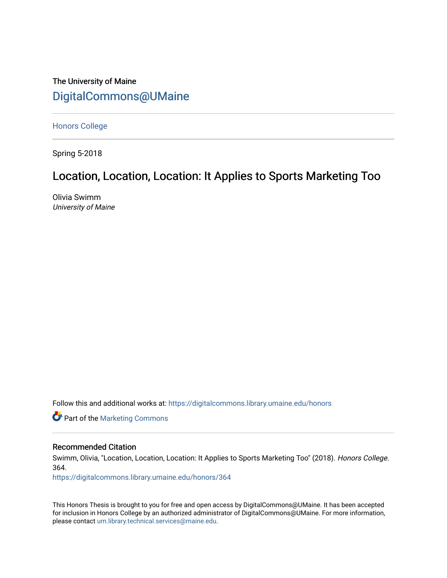# The University of Maine [DigitalCommons@UMaine](https://digitalcommons.library.umaine.edu/)

[Honors College](https://digitalcommons.library.umaine.edu/honors)

Spring 5-2018

# Location, Location, Location: It Applies to Sports Marketing Too

Olivia Swimm University of Maine

Follow this and additional works at: [https://digitalcommons.library.umaine.edu/honors](https://digitalcommons.library.umaine.edu/honors?utm_source=digitalcommons.library.umaine.edu%2Fhonors%2F364&utm_medium=PDF&utm_campaign=PDFCoverPages) 

**Part of the [Marketing Commons](http://network.bepress.com/hgg/discipline/638?utm_source=digitalcommons.library.umaine.edu%2Fhonors%2F364&utm_medium=PDF&utm_campaign=PDFCoverPages)** 

#### Recommended Citation

Swimm, Olivia, "Location, Location, Location: It Applies to Sports Marketing Too" (2018). Honors College. 364.

[https://digitalcommons.library.umaine.edu/honors/364](https://digitalcommons.library.umaine.edu/honors/364?utm_source=digitalcommons.library.umaine.edu%2Fhonors%2F364&utm_medium=PDF&utm_campaign=PDFCoverPages) 

This Honors Thesis is brought to you for free and open access by DigitalCommons@UMaine. It has been accepted for inclusion in Honors College by an authorized administrator of DigitalCommons@UMaine. For more information, please contact [um.library.technical.services@maine.edu.](mailto:um.library.technical.services@maine.edu)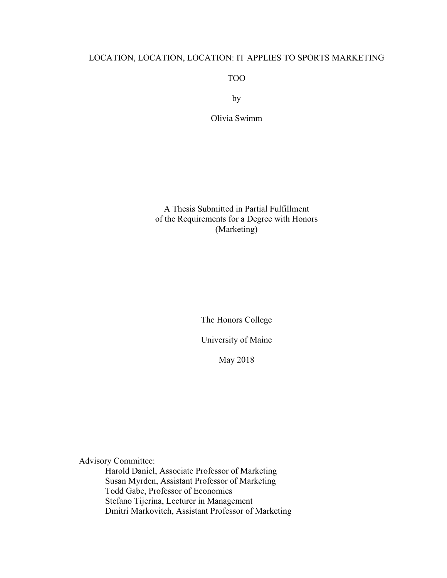# LOCATION, LOCATION, LOCATION: IT APPLIES TO SPORTS MARKETING

TOO

by

Olivia Swimm

A Thesis Submitted in Partial Fulfillment of the Requirements for a Degree with Honors (Marketing)

The Honors College

University of Maine

May 2018

Advisory Committee: Harold Daniel, Associate Professor of Marketing Susan Myrden, Assistant Professor of Marketing Todd Gabe, Professor of Economics Stefano Tijerina, Lecturer in Management Dmitri Markovitch, Assistant Professor of Marketing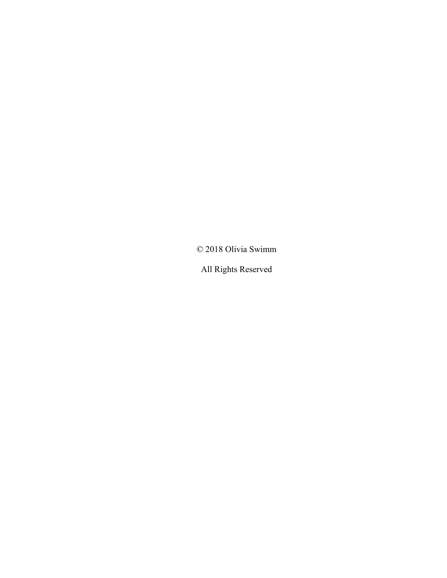© 2018 Olivia Swimm

All Rights Reserved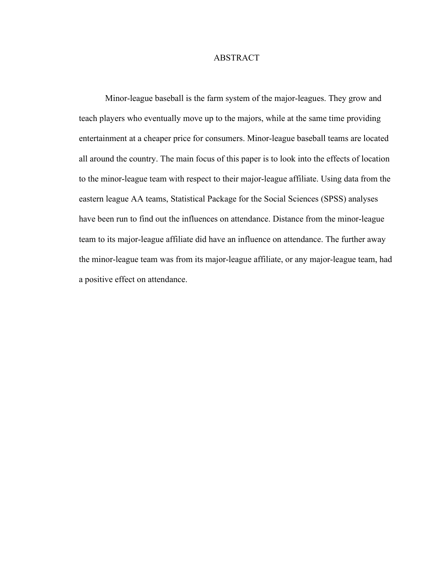## ABSTRACT

Minor-league baseball is the farm system of the major-leagues. They grow and teach players who eventually move up to the majors, while at the same time providing entertainment at a cheaper price for consumers. Minor-league baseball teams are located all around the country. The main focus of this paper is to look into the effects of location to the minor-league team with respect to their major-league affiliate. Using data from the eastern league AA teams, Statistical Package for the Social Sciences (SPSS) analyses have been run to find out the influences on attendance. Distance from the minor-league team to its major-league affiliate did have an influence on attendance. The further away the minor-league team was from its major-league affiliate, or any major-league team, had a positive effect on attendance.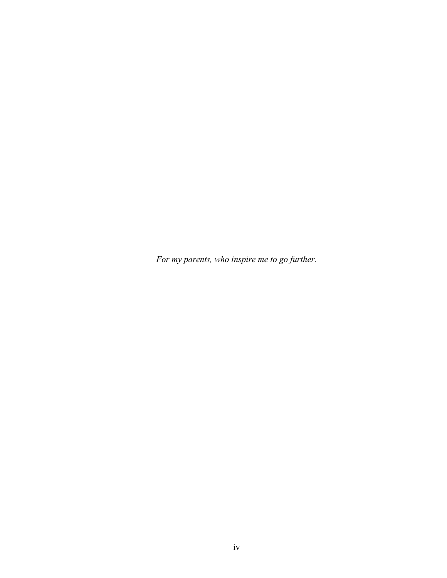*For my parents, who inspire me to go further.*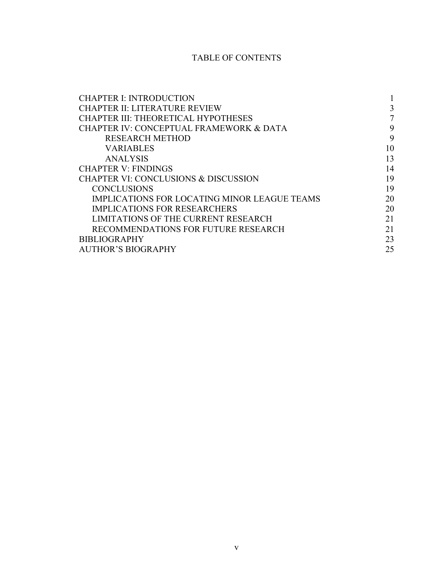# TABLE OF CONTENTS

| <b>CHAPTER I: INTRODUCTION</b>                      |                |
|-----------------------------------------------------|----------------|
| <b>CHAPTER II: LITERATURE REVIEW</b>                | 3              |
| CHAPTER III: THEORETICAL HYPOTHESES                 | $\overline{7}$ |
| <b>CHAPTER IV: CONCEPTUAL FRAMEWORK &amp; DATA</b>  | 9              |
| <b>RESEARCH METHOD</b>                              | 9              |
| <b>VARIABLES</b>                                    | 10             |
| <b>ANALYSIS</b>                                     | 13             |
| <b>CHAPTER V: FINDINGS</b>                          | 14             |
| <b>CHAPTER VI: CONCLUSIONS &amp; DISCUSSION</b>     | 19             |
| <b>CONCLUSIONS</b>                                  | 19             |
| <b>IMPLICATIONS FOR LOCATING MINOR LEAGUE TEAMS</b> | 20             |
| <b>IMPLICATIONS FOR RESEARCHERS</b>                 | 20             |
| LIMITATIONS OF THE CURRENT RESEARCH                 | 21             |
| RECOMMENDATIONS FOR FUTURE RESEARCH                 | 21             |
| <b>BIBLIOGRAPHY</b>                                 | 23             |
| <b>AUTHOR'S BIOGRAPHY</b>                           | 25             |
|                                                     |                |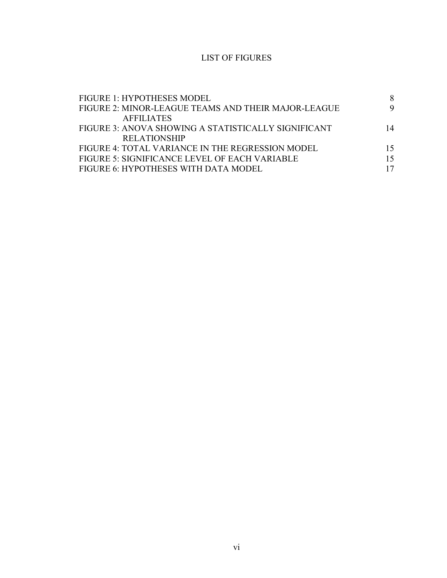# LIST OF FIGURES

| FIGURE 1: HYPOTHESES MODEL                          |    |
|-----------------------------------------------------|----|
| FIGURE 2: MINOR-LEAGUE TEAMS AND THEIR MAJOR-LEAGUE | 9  |
| <b>AFFILIATES</b>                                   |    |
| FIGURE 3: ANOVA SHOWING A STATISTICALLY SIGNIFICANT | 14 |
| <b>RELATIONSHIP</b>                                 |    |
| FIGURE 4: TOTAL VARIANCE IN THE REGRESSION MODEL    | 15 |
| FIGURE 5: SIGNIFICANCE LEVEL OF EACH VARIABLE       | 15 |
| FIGURE 6: HYPOTHESES WITH DATA MODEL                |    |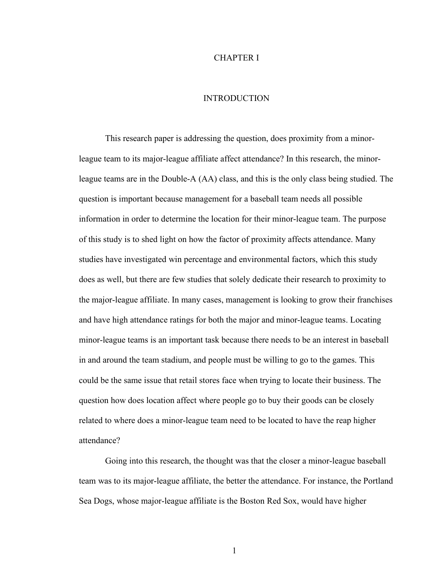#### CHAPTER I

#### INTRODUCTION

This research paper is addressing the question, does proximity from a minorleague team to its major-league affiliate affect attendance? In this research, the minorleague teams are in the Double-A (AA) class, and this is the only class being studied. The question is important because management for a baseball team needs all possible information in order to determine the location for their minor-league team. The purpose of this study is to shed light on how the factor of proximity affects attendance. Many studies have investigated win percentage and environmental factors, which this study does as well, but there are few studies that solely dedicate their research to proximity to the major-league affiliate. In many cases, management is looking to grow their franchises and have high attendance ratings for both the major and minor-league teams. Locating minor-league teams is an important task because there needs to be an interest in baseball in and around the team stadium, and people must be willing to go to the games. This could be the same issue that retail stores face when trying to locate their business. The question how does location affect where people go to buy their goods can be closely related to where does a minor-league team need to be located to have the reap higher attendance?

Going into this research, the thought was that the closer a minor-league baseball team was to its major-league affiliate, the better the attendance. For instance, the Portland Sea Dogs, whose major-league affiliate is the Boston Red Sox, would have higher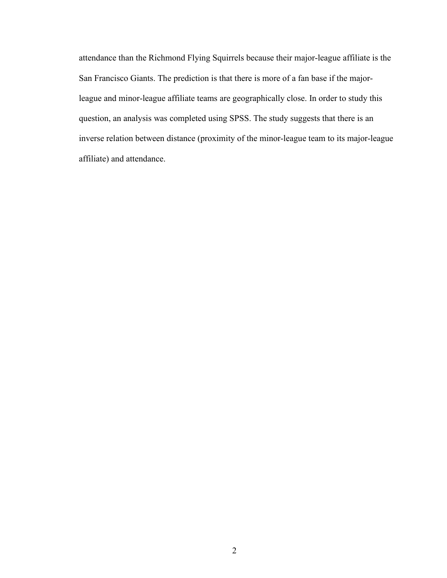attendance than the Richmond Flying Squirrels because their major-league affiliate is the San Francisco Giants. The prediction is that there is more of a fan base if the majorleague and minor-league affiliate teams are geographically close. In order to study this question, an analysis was completed using SPSS. The study suggests that there is an inverse relation between distance (proximity of the minor-league team to its major-league affiliate) and attendance.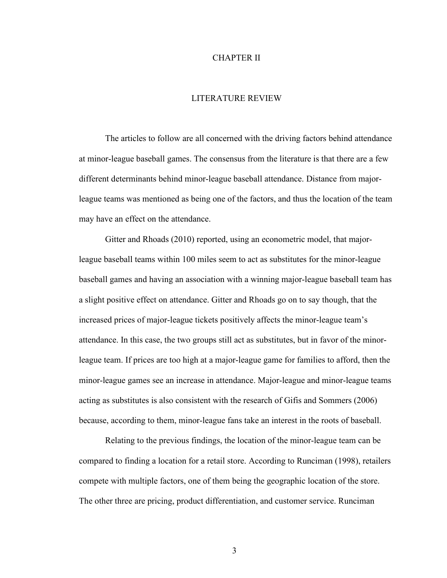#### CHAPTER II

#### LITERATURE REVIEW

The articles to follow are all concerned with the driving factors behind attendance at minor-league baseball games. The consensus from the literature is that there are a few different determinants behind minor-league baseball attendance. Distance from majorleague teams was mentioned as being one of the factors, and thus the location of the team may have an effect on the attendance.

Gitter and Rhoads (2010) reported, using an econometric model, that majorleague baseball teams within 100 miles seem to act as substitutes for the minor-league baseball games and having an association with a winning major-league baseball team has a slight positive effect on attendance. Gitter and Rhoads go on to say though, that the increased prices of major-league tickets positively affects the minor-league team's attendance. In this case, the two groups still act as substitutes, but in favor of the minorleague team. If prices are too high at a major-league game for families to afford, then the minor-league games see an increase in attendance. Major-league and minor-league teams acting as substitutes is also consistent with the research of Gifis and Sommers (2006) because, according to them, minor-league fans take an interest in the roots of baseball.

Relating to the previous findings, the location of the minor-league team can be compared to finding a location for a retail store. According to Runciman (1998), retailers compete with multiple factors, one of them being the geographic location of the store. The other three are pricing, product differentiation, and customer service. Runciman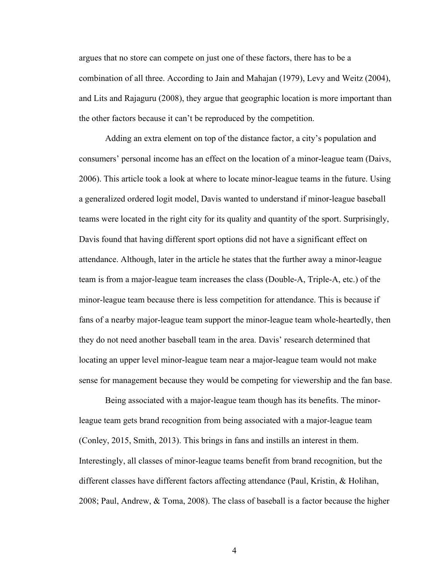argues that no store can compete on just one of these factors, there has to be a combination of all three. According to Jain and Mahajan (1979), Levy and Weitz (2004), and Lits and Rajaguru (2008), they argue that geographic location is more important than the other factors because it can't be reproduced by the competition.

Adding an extra element on top of the distance factor, a city's population and consumers' personal income has an effect on the location of a minor-league team (Daivs, 2006). This article took a look at where to locate minor-league teams in the future. Using a generalized ordered logit model, Davis wanted to understand if minor-league baseball teams were located in the right city for its quality and quantity of the sport. Surprisingly, Davis found that having different sport options did not have a significant effect on attendance. Although, later in the article he states that the further away a minor-league team is from a major-league team increases the class (Double-A, Triple-A, etc.) of the minor-league team because there is less competition for attendance. This is because if fans of a nearby major-league team support the minor-league team whole-heartedly, then they do not need another baseball team in the area. Davis' research determined that locating an upper level minor-league team near a major-league team would not make sense for management because they would be competing for viewership and the fan base.

Being associated with a major-league team though has its benefits. The minorleague team gets brand recognition from being associated with a major-league team (Conley, 2015, Smith, 2013). This brings in fans and instills an interest in them. Interestingly, all classes of minor-league teams benefit from brand recognition, but the different classes have different factors affecting attendance (Paul, Kristin, & Holihan, 2008; Paul, Andrew, & Toma, 2008). The class of baseball is a factor because the higher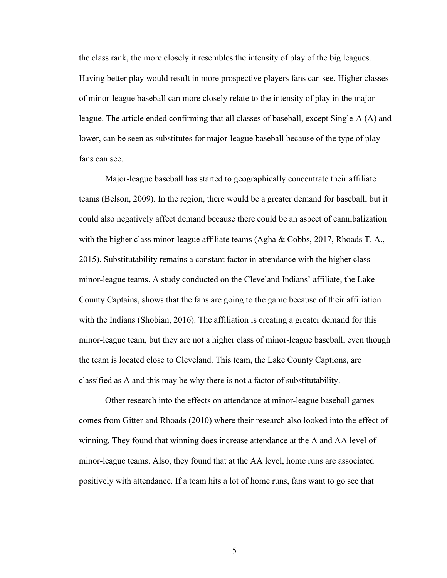the class rank, the more closely it resembles the intensity of play of the big leagues. Having better play would result in more prospective players fans can see. Higher classes of minor-league baseball can more closely relate to the intensity of play in the majorleague. The article ended confirming that all classes of baseball, except Single-A (A) and lower, can be seen as substitutes for major-league baseball because of the type of play fans can see

Major-league baseball has started to geographically concentrate their affiliate teams (Belson, 2009). In the region, there would be a greater demand for baseball, but it could also negatively affect demand because there could be an aspect of cannibalization with the higher class minor-league affiliate teams (Agha & Cobbs, 2017, Rhoads T. A., 2015). Substitutability remains a constant factor in attendance with the higher class minor-league teams. A study conducted on the Cleveland Indians' affiliate, the Lake County Captains, shows that the fans are going to the game because of their affiliation with the Indians (Shobian, 2016). The affiliation is creating a greater demand for this minor-league team, but they are not a higher class of minor-league baseball, even though the team is located close to Cleveland. This team, the Lake County Captions, are classified as A and this may be why there is not a factor of substitutability.

Other research into the effects on attendance at minor-league baseball games comes from Gitter and Rhoads (2010) where their research also looked into the effect of winning. They found that winning does increase attendance at the A and AA level of minor-league teams. Also, they found that at the AA level, home runs are associated positively with attendance. If a team hits a lot of home runs, fans want to go see that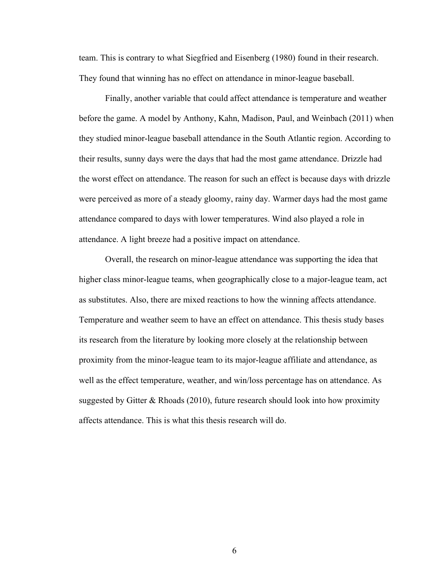team. This is contrary to what Siegfried and Eisenberg (1980) found in their research. They found that winning has no effect on attendance in minor-league baseball.

Finally, another variable that could affect attendance is temperature and weather before the game. A model by Anthony, Kahn, Madison, Paul, and Weinbach (2011) when they studied minor-league baseball attendance in the South Atlantic region. According to their results, sunny days were the days that had the most game attendance. Drizzle had the worst effect on attendance. The reason for such an effect is because days with drizzle were perceived as more of a steady gloomy, rainy day. Warmer days had the most game attendance compared to days with lower temperatures. Wind also played a role in attendance. A light breeze had a positive impact on attendance.

Overall, the research on minor-league attendance was supporting the idea that higher class minor-league teams, when geographically close to a major-league team, act as substitutes. Also, there are mixed reactions to how the winning affects attendance. Temperature and weather seem to have an effect on attendance. This thesis study bases its research from the literature by looking more closely at the relationship between proximity from the minor-league team to its major-league affiliate and attendance, as well as the effect temperature, weather, and win/loss percentage has on attendance. As suggested by Gitter & Rhoads (2010), future research should look into how proximity affects attendance. This is what this thesis research will do.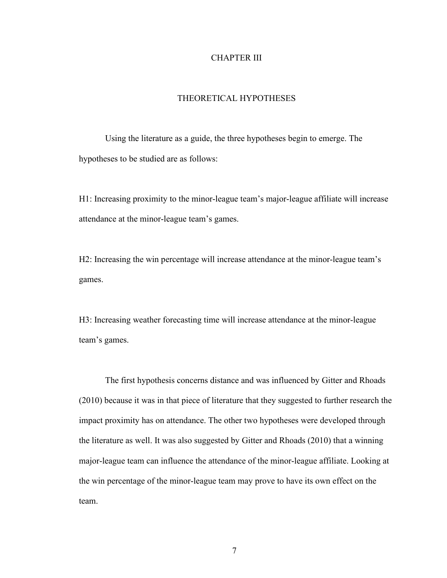#### CHAPTER III

#### THEORETICAL HYPOTHESES

Using the literature as a guide, the three hypotheses begin to emerge. The hypotheses to be studied are as follows:

H1: Increasing proximity to the minor-league team's major-league affiliate will increase attendance at the minor-league team's games.

H2: Increasing the win percentage will increase attendance at the minor-league team's games.

H3: Increasing weather forecasting time will increase attendance at the minor-league team's games.

The first hypothesis concerns distance and was influenced by Gitter and Rhoads (2010) because it was in that piece of literature that they suggested to further research the impact proximity has on attendance. The other two hypotheses were developed through the literature as well. It was also suggested by Gitter and Rhoads (2010) that a winning major-league team can influence the attendance of the minor-league affiliate. Looking at the win percentage of the minor-league team may prove to have its own effect on the team.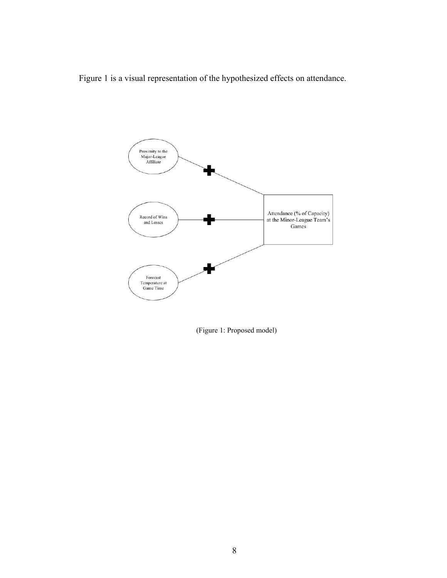Figure 1 is a visual representation of the hypothesized effects on attendance.



(Figure 1: Proposed model)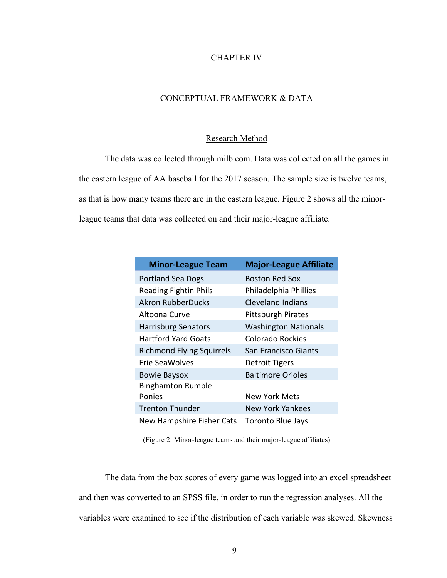# CHAPTER IV

# CONCEPTUAL FRAMEWORK & DATA

#### Research Method

The data was collected through milb.com. Data was collected on all the games in the eastern league of AA baseball for the 2017 season. The sample size is twelve teams, as that is how many teams there are in the eastern league. Figure 2 shows all the minorleague teams that data was collected on and their major-league affiliate.

| <b>Minor-League Team</b>         | <b>Major-League Affiliate</b> |
|----------------------------------|-------------------------------|
| <b>Portland Sea Dogs</b>         | <b>Boston Red Sox</b>         |
| <b>Reading Fightin Phils</b>     | Philadelphia Phillies         |
| <b>Akron RubberDucks</b>         | Cleveland Indians             |
| Altoona Curve                    | <b>Pittsburgh Pirates</b>     |
| <b>Harrisburg Senators</b>       | <b>Washington Nationals</b>   |
| <b>Hartford Yard Goats</b>       | <b>Colorado Rockies</b>       |
| <b>Richmond Flying Squirrels</b> | San Francisco Giants          |
| Erie SeaWolves                   | <b>Detroit Tigers</b>         |
| <b>Bowie Baysox</b>              | <b>Baltimore Orioles</b>      |
| <b>Binghamton Rumble</b>         |                               |
| Ponies                           | <b>New York Mets</b>          |
| <b>Trenton Thunder</b>           | New York Yankees              |
| New Hampshire Fisher Cats        | <b>Toronto Blue Jays</b>      |

(Figure 2: Minor-league teams and their major-league affiliates)

The data from the box scores of every game was logged into an excel spreadsheet and then was converted to an SPSS file, in order to run the regression analyses. All the variables were examined to see if the distribution of each variable was skewed. Skewness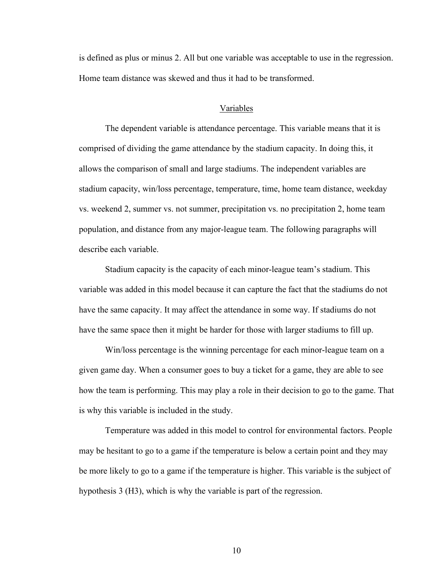is defined as plus or minus 2. All but one variable was acceptable to use in the regression. Home team distance was skewed and thus it had to be transformed.

#### Variables

The dependent variable is attendance percentage. This variable means that it is comprised of dividing the game attendance by the stadium capacity. In doing this, it allows the comparison of small and large stadiums. The independent variables are stadium capacity, win/loss percentage, temperature, time, home team distance, weekday vs. weekend 2, summer vs. not summer, precipitation vs. no precipitation 2, home team population, and distance from any major-league team. The following paragraphs will describe each variable.

Stadium capacity is the capacity of each minor-league team's stadium. This variable was added in this model because it can capture the fact that the stadiums do not have the same capacity. It may affect the attendance in some way. If stadiums do not have the same space then it might be harder for those with larger stadiums to fill up.

Win/loss percentage is the winning percentage for each minor-league team on a given game day. When a consumer goes to buy a ticket for a game, they are able to see how the team is performing. This may play a role in their decision to go to the game. That is why this variable is included in the study.

Temperature was added in this model to control for environmental factors. People may be hesitant to go to a game if the temperature is below a certain point and they may be more likely to go to a game if the temperature is higher. This variable is the subject of hypothesis 3 (H3), which is why the variable is part of the regression.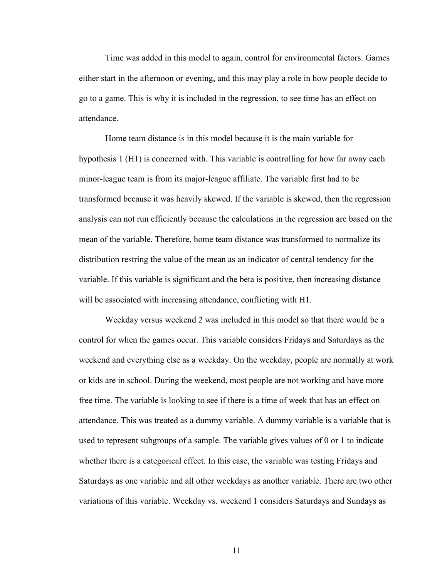Time was added in this model to again, control for environmental factors. Games either start in the afternoon or evening, and this may play a role in how people decide to go to a game. This is why it is included in the regression, to see time has an effect on attendance.

Home team distance is in this model because it is the main variable for hypothesis 1 (H1) is concerned with. This variable is controlling for how far away each minor-league team is from its major-league affiliate. The variable first had to be transformed because it was heavily skewed. If the variable is skewed, then the regression analysis can not run efficiently because the calculations in the regression are based on the mean of the variable. Therefore, home team distance was transformed to normalize its distribution restring the value of the mean as an indicator of central tendency for the variable. If this variable is significant and the beta is positive, then increasing distance will be associated with increasing attendance, conflicting with H1.

Weekday versus weekend 2 was included in this model so that there would be a control for when the games occur. This variable considers Fridays and Saturdays as the weekend and everything else as a weekday. On the weekday, people are normally at work or kids are in school. During the weekend, most people are not working and have more free time. The variable is looking to see if there is a time of week that has an effect on attendance. This was treated as a dummy variable. A dummy variable is a variable that is used to represent subgroups of a sample. The variable gives values of 0 or 1 to indicate whether there is a categorical effect. In this case, the variable was testing Fridays and Saturdays as one variable and all other weekdays as another variable. There are two other variations of this variable. Weekday vs. weekend 1 considers Saturdays and Sundays as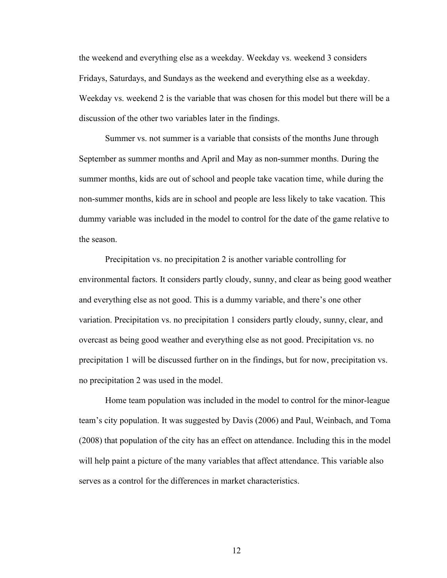the weekend and everything else as a weekday. Weekday vs. weekend 3 considers Fridays, Saturdays, and Sundays as the weekend and everything else as a weekday. Weekday vs. weekend 2 is the variable that was chosen for this model but there will be a discussion of the other two variables later in the findings.

Summer vs. not summer is a variable that consists of the months June through September as summer months and April and May as non-summer months. During the summer months, kids are out of school and people take vacation time, while during the non-summer months, kids are in school and people are less likely to take vacation. This dummy variable was included in the model to control for the date of the game relative to the season.

Precipitation vs. no precipitation 2 is another variable controlling for environmental factors. It considers partly cloudy, sunny, and clear as being good weather and everything else as not good. This is a dummy variable, and there's one other variation. Precipitation vs. no precipitation 1 considers partly cloudy, sunny, clear, and overcast as being good weather and everything else as not good. Precipitation vs. no precipitation 1 will be discussed further on in the findings, but for now, precipitation vs. no precipitation 2 was used in the model.

Home team population was included in the model to control for the minor-league team's city population. It was suggested by Davis (2006) and Paul, Weinbach, and Toma (2008) that population of the city has an effect on attendance. Including this in the model will help paint a picture of the many variables that affect attendance. This variable also serves as a control for the differences in market characteristics.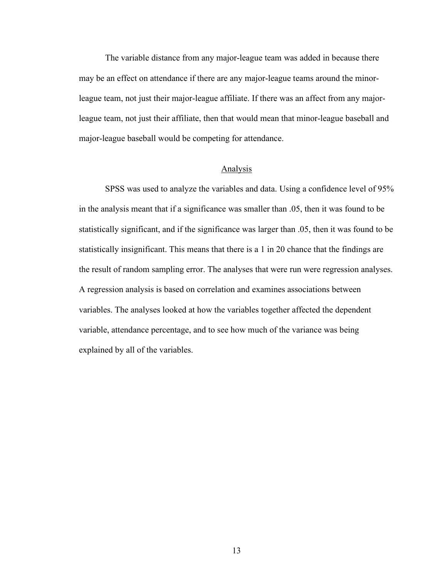The variable distance from any major-league team was added in because there may be an effect on attendance if there are any major-league teams around the minorleague team, not just their major-league affiliate. If there was an affect from any majorleague team, not just their affiliate, then that would mean that minor-league baseball and major-league baseball would be competing for attendance.

# Analysis

SPSS was used to analyze the variables and data. Using a confidence level of 95% in the analysis meant that if a significance was smaller than .05, then it was found to be statistically significant, and if the significance was larger than .05, then it was found to be statistically insignificant. This means that there is a 1 in 20 chance that the findings are the result of random sampling error. The analyses that were run were regression analyses. A regression analysis is based on correlation and examines associations between variables. The analyses looked at how the variables together affected the dependent variable, attendance percentage, and to see how much of the variance was being explained by all of the variables.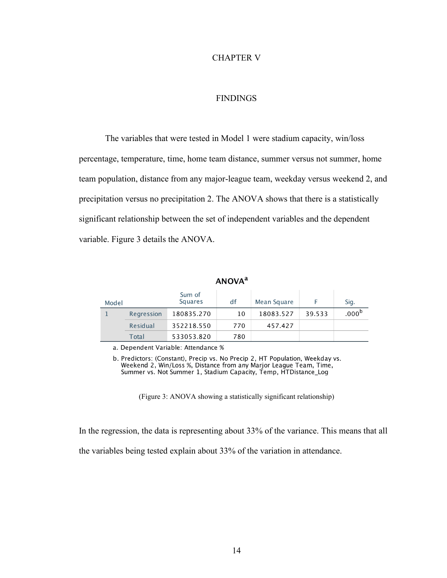# CHAPTER V

#### FINDINGS

The variables that were tested in Model 1 were stadium capacity, win/loss percentage, temperature, time, home team distance, summer versus not summer, home team population, distance from any major-league team, weekday versus weekend 2, and precipitation versus no precipitation 2. The ANOVA shows that there is a statistically significant relationship between the set of independent variables and the dependent variable. Figure 3 details the ANOVA.

| <b>AIVUVA</b> |            |                   |     |             |        |                   |  |  |
|---------------|------------|-------------------|-----|-------------|--------|-------------------|--|--|
| Model         |            | Sum of<br>Squares | df  | Mean Square |        | Sig.              |  |  |
|               | Regression | 180835.270        | 10  | 18083.527   | 39.533 | .000 <sup>b</sup> |  |  |
|               | Residual   | 352218.550        | 770 | 457.427     |        |                   |  |  |
|               | Total      | 533053.820        | 780 |             |        |                   |  |  |

**ANOVA**<sup>a</sup>

a. Dependent Variable: Attendance %

b. Predictors: (Constant), Precip vs. No Precip 2, HT Population, Weekday vs. Weekend 2, Win/Loss %, Distance from any Marjor League Team, Time,<br>Summer vs. Not Summer 1, Stadium Capacity, Temp, HTDistance\_Log

(Figure 3: ANOVA showing a statistically significant relationship)

In the regression, the data is representing about 33% of the variance. This means that all

the variables being tested explain about 33% of the variation in attendance.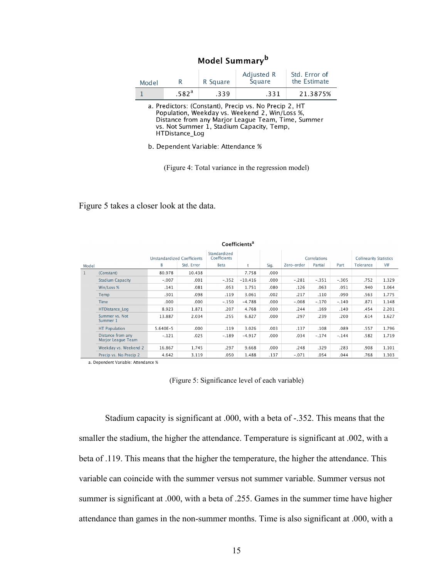| Model |                   | R Square | Adjusted R<br>Square | Std. Error of<br>the Estimate |
|-------|-------------------|----------|----------------------|-------------------------------|
|       | .582 <sup>a</sup> | .339     | .331                 | 21.3875%                      |
|       |                   |          |                      |                               |

Model Summary<sup>b</sup>

a. Predictors: (Constant), Precip vs. No Precip 2, HT Population, Weekday vs. Weekend 2, Win/Loss %, Distance from any Marjor League Team, Time, Summer vs. Not Summer 1, Stadium Capacity, Temp, HTDistance\_Log

b. Dependent Variable: Attendance %

(Figure 4: Total variance in the regression model)

Figure 5 takes a closer look at the data.

a. Dependent Variable: Attendance %

|              | Coefficients <sup>a</sup>               |                                    |            |                              |           |              |            |         |                                |           |            |
|--------------|-----------------------------------------|------------------------------------|------------|------------------------------|-----------|--------------|------------|---------|--------------------------------|-----------|------------|
|              |                                         | <b>Unstandardized Coefficients</b> |            | Standardized<br>Coefficients |           | Correlations |            |         | <b>Collinearity Statistics</b> |           |            |
| Model        |                                         | B                                  | Std. Error | Beta                         | t         | Sig.         | Zero-order | Partial | Part                           | Tolerance | <b>VIF</b> |
| $\mathbf{1}$ | (Constant)                              | 80.978                             | 10.438     |                              | 7.758     | .000         |            |         |                                |           |            |
|              | <b>Stadium Capacity</b>                 | $-.007$                            | .001       | $-.352$                      | $-10.416$ | .000         | $-.281$    | $-.351$ | $-.305$                        | .752      | 1.329      |
|              | Win/Loss %                              | .141                               | .081       | .053                         | 1.751     | .080         | .126       | .063    | .051                           | .940      | 1.064      |
|              | Temp                                    | .301                               | .098       | .119                         | 3.061     | .002         | .217       | .110    | .090                           | .563      | 1.775      |
|              | Time                                    | .000                               | .000       | $-.150$                      | $-4.788$  | .000         | $-.008$    | $-.170$ | $-.140$                        | .871      | 1.148      |
|              | <b>HTDistance Log</b>                   | 8.923                              | 1.871      | .207                         | 4.768     | .000         | .244       | .169    | .140                           | .454      | 2.201      |
|              | Summer vs. Not<br>Summer 1              | 13.887                             | 2.034      | .255                         | 6.827     | .000         | .297       | .239    | .200                           | .614      | 1.627      |
|              | <b>HT Population</b>                    | $5.640E - 5$                       | .000       | .119                         | 3.026     | .003         | .137       | .108    | .089                           | .557      | 1.796      |
|              | Distance from any<br>Marjor League Team | $-.121$                            | .025       | $-.189$                      | $-4.917$  | .000.        | .034       | $-.174$ | $-.144$                        | .582      | 1.719      |
|              | Weekday vs. Weekend 2                   | 16.867                             | 1.745      | .297                         | 9.668     | .000.        | .248       | .329    | .283                           | .908      | 1.101      |
|              | Precip vs. No Precip 2                  | 4.642                              | 3.119      | .050                         | 1.488     | .137         | $-.071$    | .054    | .044                           | .768      | 1.303      |

(Figure 5: Significance level of each variable)

Stadium capacity is significant at .000, with a beta of -.352. This means that the smaller the stadium, the higher the attendance. Temperature is significant at .002, with a beta of .119. This means that the higher the temperature, the higher the attendance. This variable can coincide with the summer versus not summer variable. Summer versus not summer is significant at .000, with a beta of .255. Games in the summer time have higher attendance than games in the non-summer months. Time is also significant at .000, with a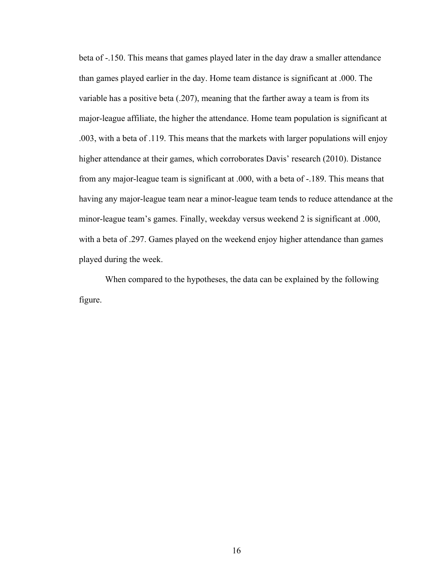beta of -.150. This means that games played later in the day draw a smaller attendance than games played earlier in the day. Home team distance is significant at .000. The variable has a positive beta (.207), meaning that the farther away a team is from its major-league affiliate, the higher the attendance. Home team population is significant at .003, with a beta of .119. This means that the markets with larger populations will enjoy higher attendance at their games, which corroborates Davis' research (2010). Distance from any major-league team is significant at .000, with a beta of -.189. This means that having any major-league team near a minor-league team tends to reduce attendance at the minor-league team's games. Finally, weekday versus weekend 2 is significant at .000, with a beta of .297. Games played on the weekend enjoy higher attendance than games played during the week.

When compared to the hypotheses, the data can be explained by the following figure.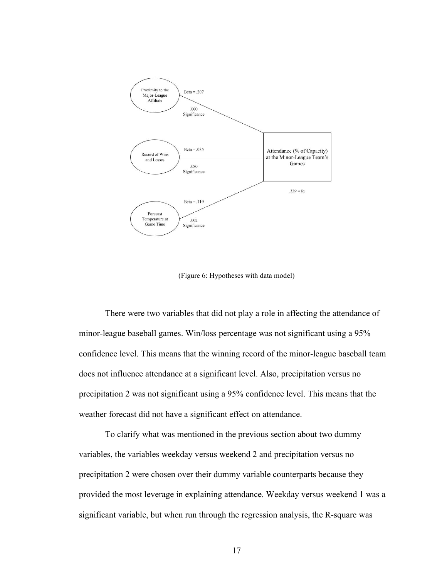

(Figure 6: Hypotheses with data model)

There were two variables that did not play a role in affecting the attendance of minor-league baseball games. Win/loss percentage was not significant using a 95% confidence level. This means that the winning record of the minor-league baseball team does not influence attendance at a significant level. Also, precipitation versus no precipitation 2 was not significant using a 95% confidence level. This means that the weather forecast did not have a significant effect on attendance.

To clarify what was mentioned in the previous section about two dummy variables, the variables weekday versus weekend 2 and precipitation versus no precipitation 2 were chosen over their dummy variable counterparts because they provided the most leverage in explaining attendance. Weekday versus weekend 1 was a significant variable, but when run through the regression analysis, the R-square was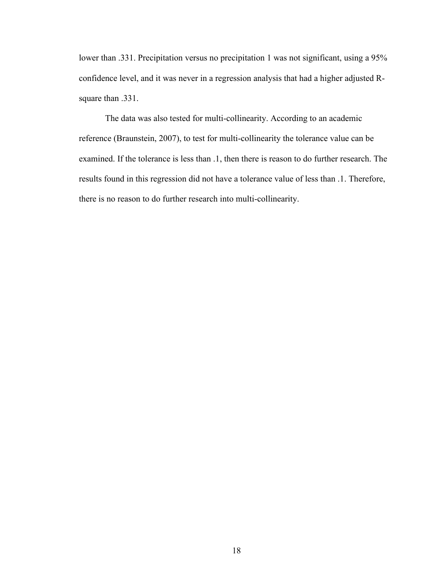lower than .331. Precipitation versus no precipitation 1 was not significant, using a 95% confidence level, and it was never in a regression analysis that had a higher adjusted Rsquare than .331.

The data was also tested for multi-collinearity. According to an academic reference (Braunstein, 2007), to test for multi-collinearity the tolerance value can be examined. If the tolerance is less than .1, then there is reason to do further research. The results found in this regression did not have a tolerance value of less than .1. Therefore, there is no reason to do further research into multi-collinearity.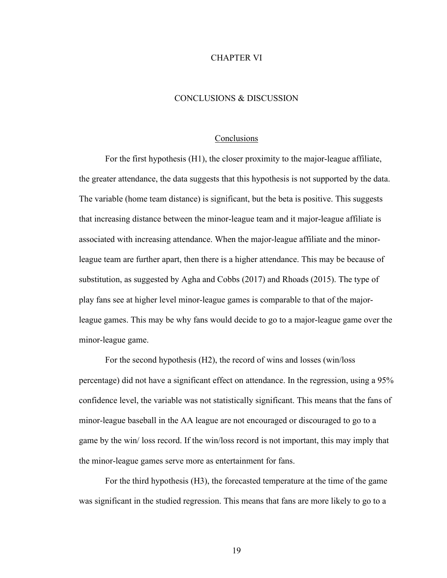#### CHAPTER VI

#### CONCLUSIONS & DISCUSSION

#### **Conclusions**

For the first hypothesis (H1), the closer proximity to the major-league affiliate, the greater attendance, the data suggests that this hypothesis is not supported by the data. The variable (home team distance) is significant, but the beta is positive. This suggests that increasing distance between the minor-league team and it major-league affiliate is associated with increasing attendance. When the major-league affiliate and the minorleague team are further apart, then there is a higher attendance. This may be because of substitution, as suggested by Agha and Cobbs (2017) and Rhoads (2015). The type of play fans see at higher level minor-league games is comparable to that of the majorleague games. This may be why fans would decide to go to a major-league game over the minor-league game.

For the second hypothesis (H2), the record of wins and losses (win/loss percentage) did not have a significant effect on attendance. In the regression, using a 95% confidence level, the variable was not statistically significant. This means that the fans of minor-league baseball in the AA league are not encouraged or discouraged to go to a game by the win/ loss record. If the win/loss record is not important, this may imply that the minor-league games serve more as entertainment for fans.

For the third hypothesis (H3), the forecasted temperature at the time of the game was significant in the studied regression. This means that fans are more likely to go to a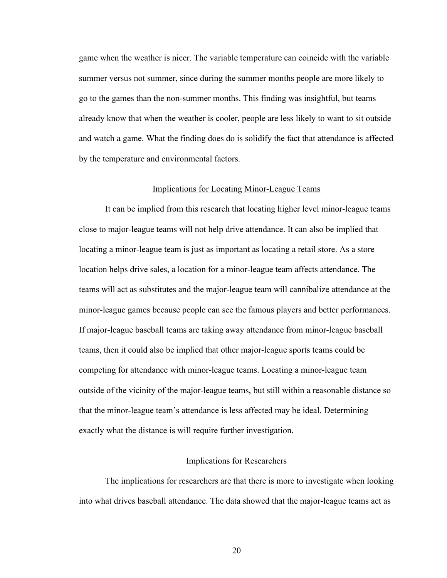game when the weather is nicer. The variable temperature can coincide with the variable summer versus not summer, since during the summer months people are more likely to go to the games than the non-summer months. This finding was insightful, but teams already know that when the weather is cooler, people are less likely to want to sit outside and watch a game. What the finding does do is solidify the fact that attendance is affected by the temperature and environmental factors.

# Implications for Locating Minor-League Teams

It can be implied from this research that locating higher level minor-league teams close to major-league teams will not help drive attendance. It can also be implied that locating a minor-league team is just as important as locating a retail store. As a store location helps drive sales, a location for a minor-league team affects attendance. The teams will act as substitutes and the major-league team will cannibalize attendance at the minor-league games because people can see the famous players and better performances. If major-league baseball teams are taking away attendance from minor-league baseball teams, then it could also be implied that other major-league sports teams could be competing for attendance with minor-league teams. Locating a minor-league team outside of the vicinity of the major-league teams, but still within a reasonable distance so that the minor-league team's attendance is less affected may be ideal. Determining exactly what the distance is will require further investigation.

#### Implications for Researchers

The implications for researchers are that there is more to investigate when looking into what drives baseball attendance. The data showed that the major-league teams act as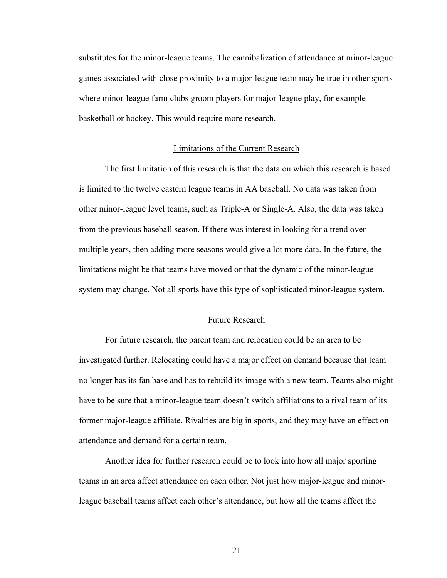substitutes for the minor-league teams. The cannibalization of attendance at minor-league games associated with close proximity to a major-league team may be true in other sports where minor-league farm clubs groom players for major-league play, for example basketball or hockey. This would require more research.

#### Limitations of the Current Research

The first limitation of this research is that the data on which this research is based is limited to the twelve eastern league teams in AA baseball. No data was taken from other minor-league level teams, such as Triple-A or Single-A. Also, the data was taken from the previous baseball season. If there was interest in looking for a trend over multiple years, then adding more seasons would give a lot more data. In the future, the limitations might be that teams have moved or that the dynamic of the minor-league system may change. Not all sports have this type of sophisticated minor-league system.

#### Future Research

For future research, the parent team and relocation could be an area to be investigated further. Relocating could have a major effect on demand because that team no longer has its fan base and has to rebuild its image with a new team. Teams also might have to be sure that a minor-league team doesn't switch affiliations to a rival team of its former major-league affiliate. Rivalries are big in sports, and they may have an effect on attendance and demand for a certain team.

Another idea for further research could be to look into how all major sporting teams in an area affect attendance on each other. Not just how major-league and minorleague baseball teams affect each other's attendance, but how all the teams affect the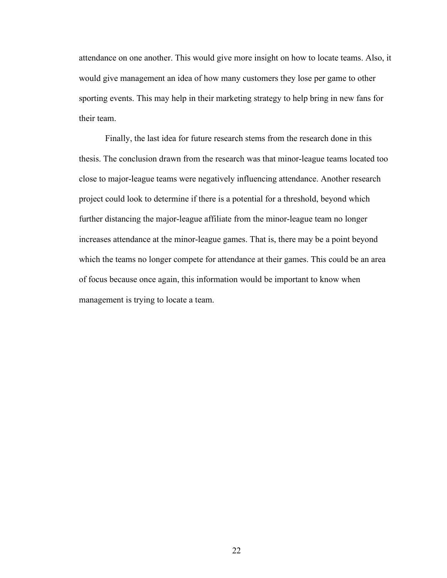attendance on one another. This would give more insight on how to locate teams. Also, it would give management an idea of how many customers they lose per game to other sporting events. This may help in their marketing strategy to help bring in new fans for their team.

Finally, the last idea for future research stems from the research done in this thesis. The conclusion drawn from the research was that minor-league teams located too close to major-league teams were negatively influencing attendance. Another research project could look to determine if there is a potential for a threshold, beyond which further distancing the major-league affiliate from the minor-league team no longer increases attendance at the minor-league games. That is, there may be a point beyond which the teams no longer compete for attendance at their games. This could be an area of focus because once again, this information would be important to know when management is trying to locate a team.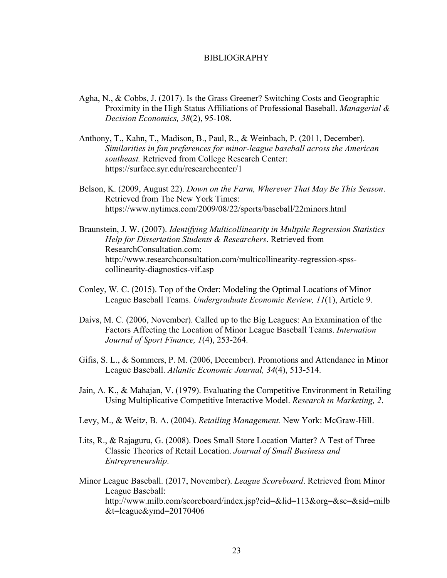#### BIBLIOGRAPHY

- Agha, N., & Cobbs, J. (2017). Is the Grass Greener? Switching Costs and Geographic Proximity in the High Status Affiliations of Professional Baseball. *Managerial & Decision Economics, 38*(2), 95-108.
- Anthony, T., Kahn, T., Madison, B., Paul, R., & Weinbach, P. (2011, December). *Similarities in fan preferences for minor-league baseball across the American southeast.* Retrieved from College Research Center: https://surface.syr.edu/researchcenter/1
- Belson, K. (2009, August 22). *Down on the Farm, Wherever That May Be This Season*. Retrieved from The New York Times: https://www.nytimes.com/2009/08/22/sports/baseball/22minors.html
- Braunstein, J. W. (2007). *Identifying Multicollinearity in Multpile Regression Statistics Help for Dissertation Students & Researchers*. Retrieved from ResearchConsultation.com: http://www.researchconsultation.com/multicollinearity-regression-spsscollinearity-diagnostics-vif.asp
- Conley, W. C. (2015). Top of the Order: Modeling the Optimal Locations of Minor League Baseball Teams. *Undergraduate Economic Review, 11*(1), Article 9.
- Daivs, M. C. (2006, November). Called up to the Big Leagues: An Examination of the Factors Affecting the Location of Minor League Baseball Teams. *Internation Journal of Sport Finance, 1*(4), 253-264.
- Gifis, S. L., & Sommers, P. M. (2006, December). Promotions and Attendance in Minor League Baseball. *Atlantic Economic Journal, 34*(4), 513-514.
- Jain, A. K., & Mahajan, V. (1979). Evaluating the Competitive Environment in Retailing Using Multiplicative Competitive Interactive Model. *Research in Marketing, 2*.
- Levy, M., & Weitz, B. A. (2004). *Retailing Management.* New York: McGraw-Hill.
- Lits, R., & Rajaguru, G. (2008). Does Small Store Location Matter? A Test of Three Classic Theories of Retail Location. *Journal of Small Business and Entrepreneurship*.
- Minor League Baseball. (2017, November). *League Scoreboard*. Retrieved from Minor League Baseball: http://www.milb.com/scoreboard/index.jsp?cid=&lid=113&org=&sc=&sid=milb  $&t$ =league $&$ ymd=20170406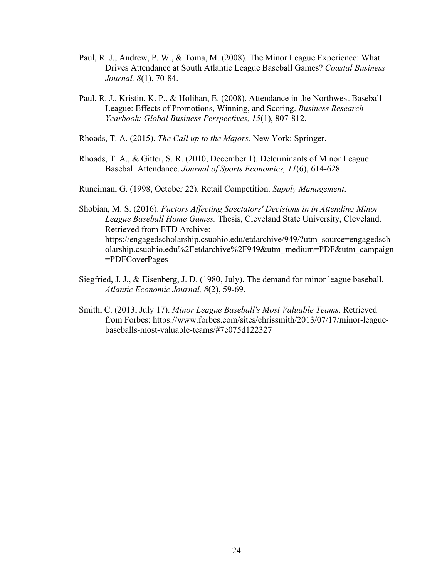- Paul, R. J., Andrew, P. W., & Toma, M. (2008). The Minor League Experience: What Drives Attendance at South Atlantic League Baseball Games? *Coastal Business Journal, 8*(1), 70-84.
- Paul, R. J., Kristin, K. P., & Holihan, E. (2008). Attendance in the Northwest Baseball League: Effects of Promotions, Winning, and Scoring. *Business Research Yearbook: Global Business Perspectives, 15*(1), 807-812.
- Rhoads, T. A. (2015). *The Call up to the Majors.* New York: Springer.
- Rhoads, T. A., & Gitter, S. R. (2010, December 1). Determinants of Minor League Baseball Attendance. *Journal of Sports Economics, 11*(6), 614-628.
- Runciman, G. (1998, October 22). Retail Competition. *Supply Management*.
- Shobian, M. S. (2016). *Factors Affecting Spectators' Decisions in in Attending Minor League Baseball Home Games.* Thesis, Cleveland State University, Cleveland. Retrieved from ETD Archive: https://engagedscholarship.csuohio.edu/etdarchive/949/?utm\_source=engagedsch olarship.csuohio.edu%2Fetdarchive%2F949&utm\_medium=PDF&utm\_campaign =PDFCoverPages
- Siegfried, J. J., & Eisenberg, J. D. (1980, July). The demand for minor league baseball. *Atlantic Economic Journal, 8*(2), 59-69.
- Smith, C. (2013, July 17). *Minor League Baseball's Most Valuable Teams*. Retrieved from Forbes: https://www.forbes.com/sites/chrissmith/2013/07/17/minor-leaguebaseballs-most-valuable-teams/#7e075d122327